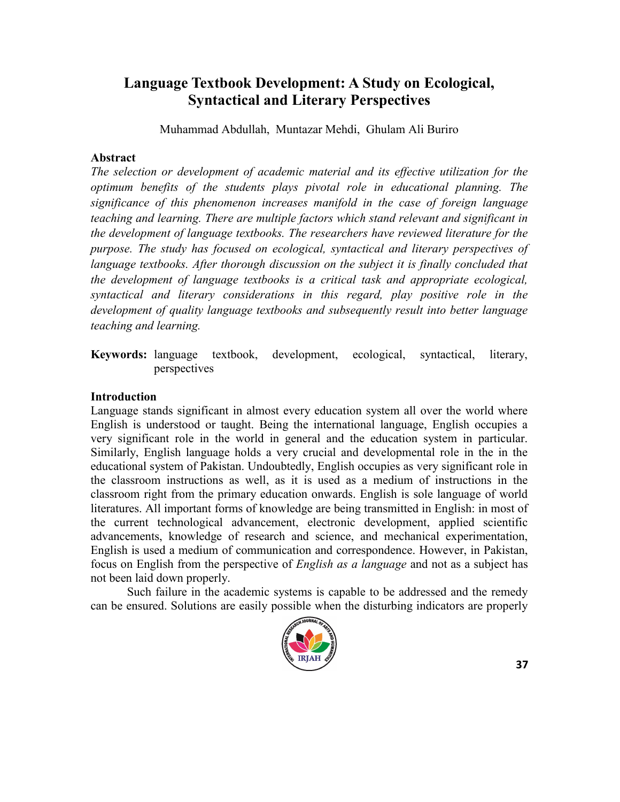# **Language Textbook Development: A Study on Ecological, Syntactical and Literary Perspectives**

Muhammad Abdullah, Muntazar Mehdi, Ghulam Ali Buriro

#### **Abstract**

*The selection or development of academic material and its effective utilization for the optimum benefits of the students plays pivotal role in educational planning. The significance of this phenomenon increases manifold in the case of foreign language teaching and learning. There are multiple factors which stand relevant and significant in the development of language textbooks. The researchers have reviewed literature for the purpose. The study has focused on ecological, syntactical and literary perspectives of language textbooks. After thorough discussion on the subject it is finally concluded that the development of language textbooks is a critical task and appropriate ecological, syntactical and literary considerations in this regard, play positive role in the development of quality language textbooks and subsequently result into better language teaching and learning.*

**Keywords:** language textbook, development, ecological, syntactical, literary, perspectives

### **Introduction**

Language stands significant in almost every education system all over the world where English is understood or taught. Being the international language, English occupies a very significant role in the world in general and the education system in particular. Similarly, English language holds a very crucial and developmental role in the in the educational system of Pakistan. Undoubtedly, English occupies as very significant role in the classroom instructions as well, as it is used as a medium of instructions in the classroom right from the primary education onwards. English is sole language of world literatures. All important forms of knowledge are being transmitted in English: in most of the current technological advancement, electronic development, applied scientific advancements, knowledge of research and science, and mechanical experimentation, English is used a medium of communication and correspondence. However, in Pakistan, focus on English from the perspective of *English as a language* and not as a subject has not been laid down properly.

Such failure in the academic systems is capable to be addressed and the remedy can be ensured. Solutions are easily possible when the disturbing indicators are properly

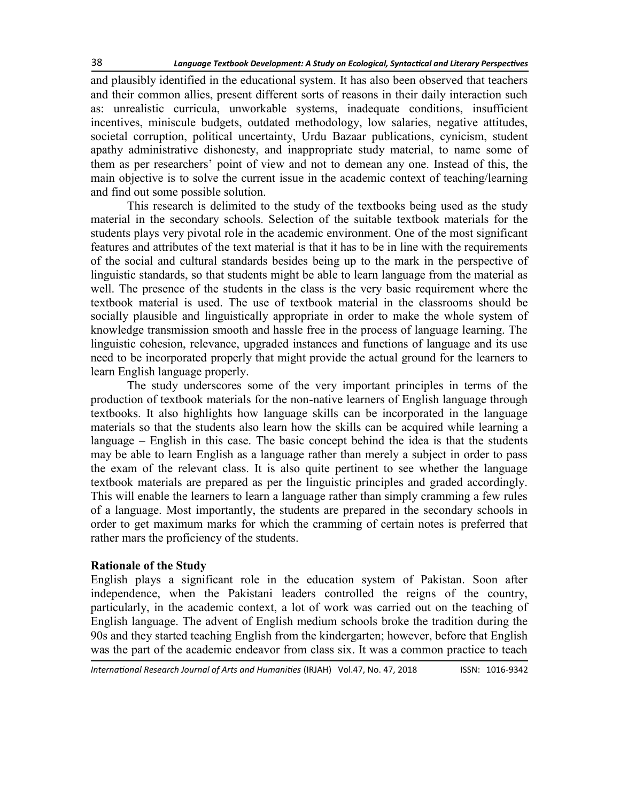and plausibly identified in the educational system. It has also been observed that teachers and their common allies, present different sorts of reasons in their daily interaction such as: unrealistic curricula, unworkable systems, inadequate conditions, insufficient incentives, miniscule budgets, outdated methodology, low salaries, negative attitudes, societal corruption, political uncertainty, Urdu Bazaar publications, cynicism, student apathy administrative dishonesty, and inappropriate study material, to name some of them as per researchers' point of view and not to demean any one. Instead of this, the main objective is to solve the current issue in the academic context of teaching/learning and find out some possible solution.

This research is delimited to the study of the textbooks being used as the study material in the secondary schools. Selection of the suitable textbook materials for the students plays very pivotal role in the academic environment. One of the most significant features and attributes of the text material is that it has to be in line with the requirements of the social and cultural standards besides being up to the mark in the perspective of linguistic standards, so that students might be able to learn language from the material as well. The presence of the students in the class is the very basic requirement where the textbook material is used. The use of textbook material in the classrooms should be socially plausible and linguistically appropriate in order to make the whole system of knowledge transmission smooth and hassle free in the process of language learning. The linguistic cohesion, relevance, upgraded instances and functions of language and its use need to be incorporated properly that might provide the actual ground for the learners to learn English language properly.

The study underscores some of the very important principles in terms of the production of textbook materials for the non-native learners of English language through textbooks. It also highlights how language skills can be incorporated in the language materials so that the students also learn how the skills can be acquired while learning a language – English in this case. The basic concept behind the idea is that the students may be able to learn English as a language rather than merely a subject in order to pass the exam of the relevant class. It is also quite pertinent to see whether the language textbook materials are prepared as per the linguistic principles and graded accordingly. This will enable the learners to learn a language rather than simply cramming a few rules of a language. Most importantly, the students are prepared in the secondary schools in order to get maximum marks for which the cramming of certain notes is preferred that rather mars the proficiency of the students.

### **Rationale of the Study**

English plays a significant role in the education system of Pakistan. Soon after independence, when the Pakistani leaders controlled the reigns of the country, particularly, in the academic context, a lot of work was carried out on the teaching of English language. The advent of English medium schools broke the tradition during the 90s and they started teaching English from the kindergarten; however, before that English was the part of the academic endeavor from class six. It was a common practice to teach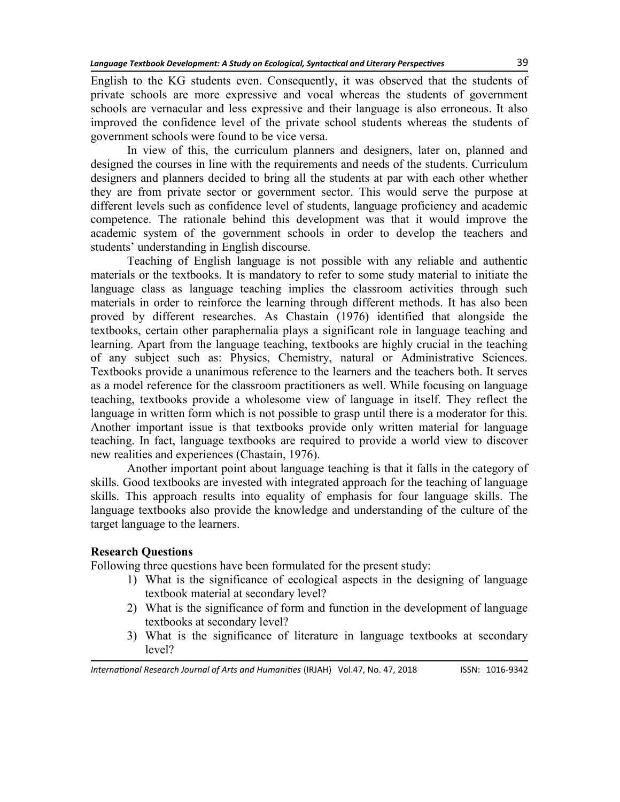English to the KG students even. Consequently, it was observed that the students of private schools are more expressive and vocal whereas the students of government schools are vernacular and less expressive and their language is also erroneous. It also improved the confidence level of the private school students whereas the students of government schools were found to be vice versa.

In view of this, the curriculum planners and designers, later on, planned and designed the courses in line with the requirements and needs of the students. Curriculum designers and planners decided to bring all the students at par with each other whether they are from private sector or government sector. This would serve the purpose at different levels such as confidence level of students, language proficiency and academic competence. The rationale behind this development was that it would improve the academic system of the government schools in order to develop the teachers and students' understanding in English discourse.

Teaching of English language is not possible with any reliable and authentic materials or the textbooks. It is mandatory to refer to some study material to initiate the language class as language teaching implies the classroom activities through such materials in order to reinforce the learning through different methods. It has also been proved by different researches. As Chastain (1976) identified that alongside the textbooks, certain other paraphernalia plays a significant role in language teaching and learning. Apart from the language teaching, textbooks are highly crucial in the teaching of any subject such as: Physics, Chemistry, natural or Administrative Sciences. Textbooks provide a unanimous reference to the learners and the teachers both. It serves as a model reference for the classroom practitioners as well. While focusing on language teaching, textbooks provide a wholesome view of language in itself. They reflect the language in written form which is not possible to grasp until there is a moderator for this. Another important issue is that textbooks provide only written material for language teaching. In fact, language textbooks are required to provide a world view to discover new realities and experiences (Chastain, 1976).

Another important point about language teaching is that it falls in the category of skills. Good textbooks are invested with integrated approach for the teaching of language skills. This approach results into equality of emphasis for four language skills. The language textbooks also provide the knowledge and understanding of the culture of the target language to the learners.

## **Research Questions**

Following three questions have been formulated for the present study:

- 1) What is the significance of ecological aspects in the designing of language textbook material at secondary level?
- 2) What is the significance of form and function in the development of language textbooks at secondary level?
- 3) What is the significance of literature in language textbooks at secondary level?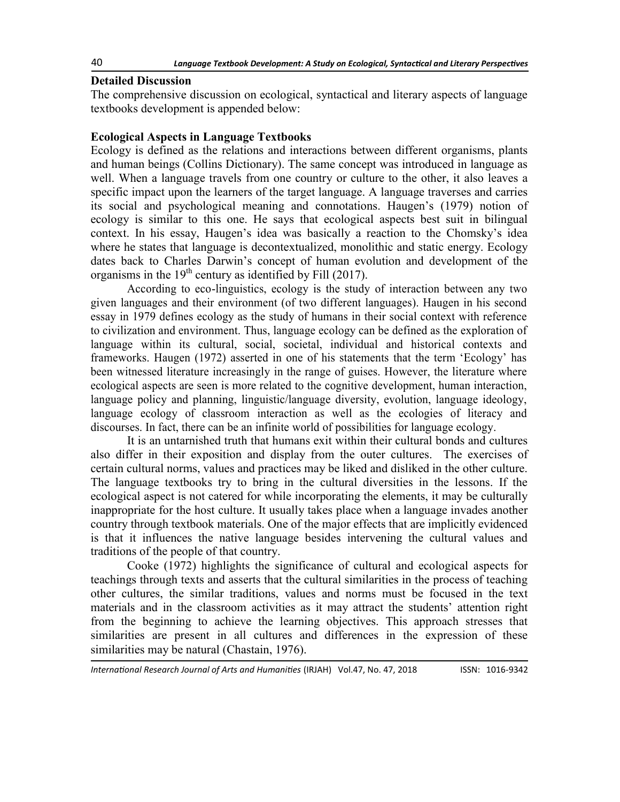#### **Detailed Discussion**

The comprehensive discussion on ecological, syntactical and literary aspects of language textbooks development is appended below:

#### **Ecological Aspects in Language Textbooks**

Ecology is defined as the relations and interactions between different organisms, plants and human beings (Collins Dictionary). The same concept was introduced in language as well. When a language travels from one country or culture to the other, it also leaves a specific impact upon the learners of the target language. A language traverses and carries its social and psychological meaning and connotations. Haugen's (1979) notion of ecology is similar to this one. He says that ecological aspects best suit in bilingual context. In his essay, Haugen's idea was basically a reaction to the Chomsky's idea where he states that language is decontextualized, monolithic and static energy. Ecology dates back to Charles Darwin's concept of human evolution and development of the organisms in the  $19<sup>th</sup>$  century as identified by Fill (2017).

According to eco-linguistics, ecology is the study of interaction between any two given languages and their environment (of two different languages). Haugen in his second essay in 1979 defines ecology as the study of humans in their social context with reference to civilization and environment. Thus, language ecology can be defined as the exploration of language within its cultural, social, societal, individual and historical contexts and frameworks. Haugen (1972) asserted in one of his statements that the term 'Ecology' has been witnessed literature increasingly in the range of guises. However, the literature where ecological aspects are seen is more related to the cognitive development, human interaction, language policy and planning, linguistic/language diversity, evolution, language ideology, language ecology of classroom interaction as well as the ecologies of literacy and discourses. In fact, there can be an infinite world of possibilities for language ecology.

It is an untarnished truth that humans exit within their cultural bonds and cultures also differ in their exposition and display from the outer cultures. The exercises of certain cultural norms, values and practices may be liked and disliked in the other culture. The language textbooks try to bring in the cultural diversities in the lessons. If the ecological aspect is not catered for while incorporating the elements, it may be culturally inappropriate for the host culture. It usually takes place when a language invades another country through textbook materials. One of the major effects that are implicitly evidenced is that it influences the native language besides intervening the cultural values and traditions of the people of that country.

Cooke (1972) highlights the significance of cultural and ecological aspects for teachings through texts and asserts that the cultural similarities in the process of teaching other cultures, the similar traditions, values and norms must be focused in the text materials and in the classroom activities as it may attract the students' attention right from the beginning to achieve the learning objectives. This approach stresses that similarities are present in all cultures and differences in the expression of these similarities may be natural (Chastain, 1976).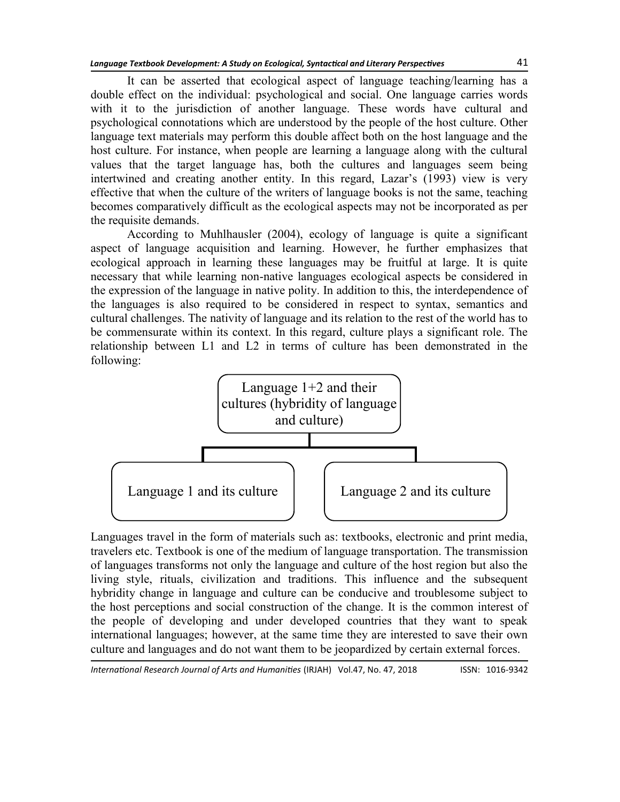It can be asserted that ecological aspect of language teaching/learning has a double effect on the individual: psychological and social. One language carries words with it to the jurisdiction of another language. These words have cultural and psychological connotations which are understood by the people of the host culture. Other language text materials may perform this double affect both on the host language and the host culture. For instance, when people are learning a language along with the cultural values that the target language has, both the cultures and languages seem being intertwined and creating another entity. In this regard, Lazar's (1993) view is very effective that when the culture of the writers of language books is not the same, teaching becomes comparatively difficult as the ecological aspects may not be incorporated as per the requisite demands.

According to Muhlhausler (2004), ecology of language is quite a significant aspect of language acquisition and learning. However, he further emphasizes that ecological approach in learning these languages may be fruitful at large. It is quite necessary that while learning non-native languages ecological aspects be considered in the expression of the language in native polity. In addition to this, the interdependence of the languages is also required to be considered in respect to syntax, semantics and cultural challenges. The nativity of language and its relation to the rest of the world has to be commensurate within its context. In this regard, culture plays a significant role. The relationship between L1 and L2 in terms of culture has been demonstrated in the following:



Languages travel in the form of materials such as: textbooks, electronic and print media, travelers etc. Textbook is one of the medium of language transportation. The transmission of languages transforms not only the language and culture of the host region but also the living style, rituals, civilization and traditions. This influence and the subsequent hybridity change in language and culture can be conducive and troublesome subject to the host perceptions and social construction of the change. It is the common interest of the people of developing and under developed countries that they want to speak international languages; however, at the same time they are interested to save their own culture and languages and do not want them to be jeopardized by certain external forces.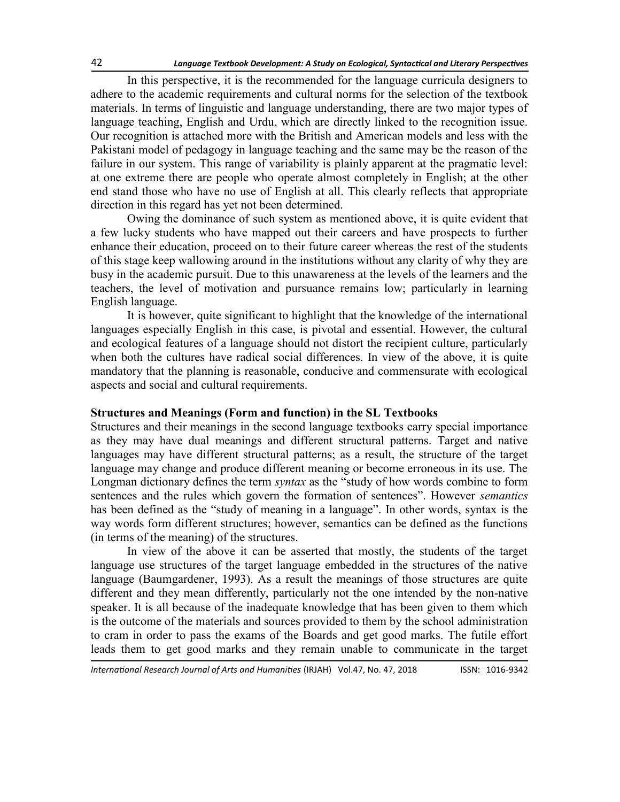In this perspective, it is the recommended for the language curricula designers to adhere to the academic requirements and cultural norms for the selection of the textbook materials. In terms of linguistic and language understanding, there are two major types of language teaching, English and Urdu, which are directly linked to the recognition issue. Our recognition is attached more with the British and American models and less with the Pakistani model of pedagogy in language teaching and the same may be the reason of the failure in our system. This range of variability is plainly apparent at the pragmatic level: at one extreme there are people who operate almost completely in English; at the other end stand those who have no use of English at all. This clearly reflects that appropriate direction in this regard has yet not been determined.

Owing the dominance of such system as mentioned above, it is quite evident that a few lucky students who have mapped out their careers and have prospects to further enhance their education, proceed on to their future career whereas the rest of the students of this stage keep wallowing around in the institutions without any clarity of why they are busy in the academic pursuit. Due to this unawareness at the levels of the learners and the teachers, the level of motivation and pursuance remains low; particularly in learning English language.

It is however, quite significant to highlight that the knowledge of the international languages especially English in this case, is pivotal and essential. However, the cultural and ecological features of a language should not distort the recipient culture, particularly when both the cultures have radical social differences. In view of the above, it is quite mandatory that the planning is reasonable, conducive and commensurate with ecological aspects and social and cultural requirements.

#### **Structures and Meanings (Form and function) in the SL Textbooks**

Structures and their meanings in the second language textbooks carry special importance as they may have dual meanings and different structural patterns. Target and native languages may have different structural patterns; as a result, the structure of the target language may change and produce different meaning or become erroneous in its use. The Longman dictionary defines the term *syntax* as the "study of how words combine to form sentences and the rules which govern the formation of sentences". However *semantics* has been defined as the "study of meaning in a language". In other words, syntax is the way words form different structures; however, semantics can be defined as the functions (in terms of the meaning) of the structures.

In view of the above it can be asserted that mostly, the students of the target language use structures of the target language embedded in the structures of the native language (Baumgardener, 1993). As a result the meanings of those structures are quite different and they mean differently, particularly not the one intended by the non-native speaker. It is all because of the inadequate knowledge that has been given to them which is the outcome of the materials and sources provided to them by the school administration to cram in order to pass the exams of the Boards and get good marks. The futile effort leads them to get good marks and they remain unable to communicate in the target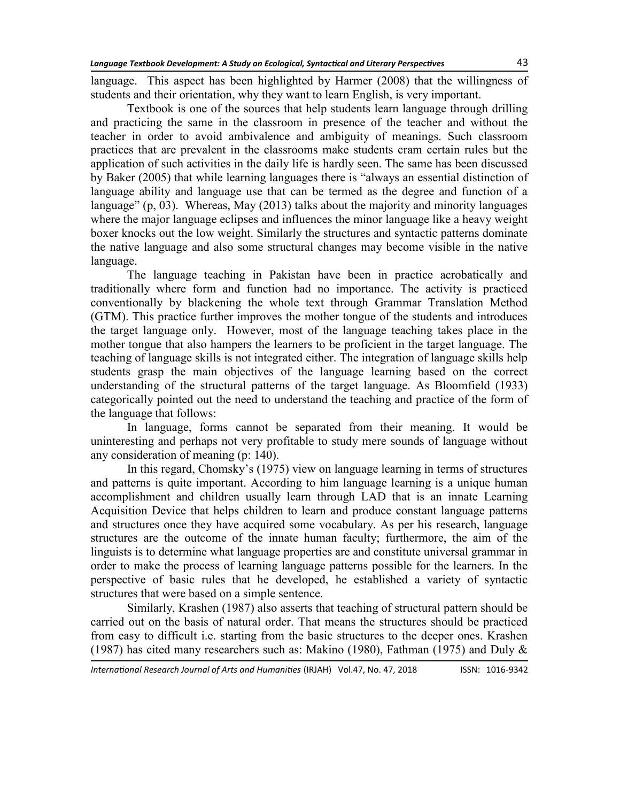language. This aspect has been highlighted by Harmer (2008) that the willingness of students and their orientation, why they want to learn English, is very important.

Textbook is one of the sources that help students learn language through drilling and practicing the same in the classroom in presence of the teacher and without the teacher in order to avoid ambivalence and ambiguity of meanings. Such classroom practices that are prevalent in the classrooms make students cram certain rules but the application of such activities in the daily life is hardly seen. The same has been discussed by Baker (2005) that while learning languages there is "always an essential distinction of language ability and language use that can be termed as the degree and function of a language" (p,  $03$ ). Whereas, May (2013) talks about the majority and minority languages where the major language eclipses and influences the minor language like a heavy weight boxer knocks out the low weight. Similarly the structures and syntactic patterns dominate the native language and also some structural changes may become visible in the native language.

The language teaching in Pakistan have been in practice acrobatically and traditionally where form and function had no importance. The activity is practiced conventionally by blackening the whole text through Grammar Translation Method (GTM). This practice further improves the mother tongue of the students and introduces the target language only. However, most of the language teaching takes place in the mother tongue that also hampers the learners to be proficient in the target language. The teaching of language skills is not integrated either. The integration of language skills help students grasp the main objectives of the language learning based on the correct understanding of the structural patterns of the target language. As Bloomfield (1933) categorically pointed out the need to understand the teaching and practice of the form of the language that follows:

In language, forms cannot be separated from their meaning. It would be uninteresting and perhaps not very profitable to study mere sounds of language without any consideration of meaning (p: 140).

In this regard, Chomsky's (1975) view on language learning in terms of structures and patterns is quite important. According to him language learning is a unique human accomplishment and children usually learn through LAD that is an innate Learning Acquisition Device that helps children to learn and produce constant language patterns and structures once they have acquired some vocabulary. As per his research, language structures are the outcome of the innate human faculty; furthermore, the aim of the linguists is to determine what language properties are and constitute universal grammar in order to make the process of learning language patterns possible for the learners. In the perspective of basic rules that he developed, he established a variety of syntactic structures that were based on a simple sentence.

Similarly, Krashen (1987) also asserts that teaching of structural pattern should be carried out on the basis of natural order. That means the structures should be practiced from easy to difficult i.e. starting from the basic structures to the deeper ones. Krashen (1987) has cited many researchers such as: Makino (1980), Fathman (1975) and Duly  $\&$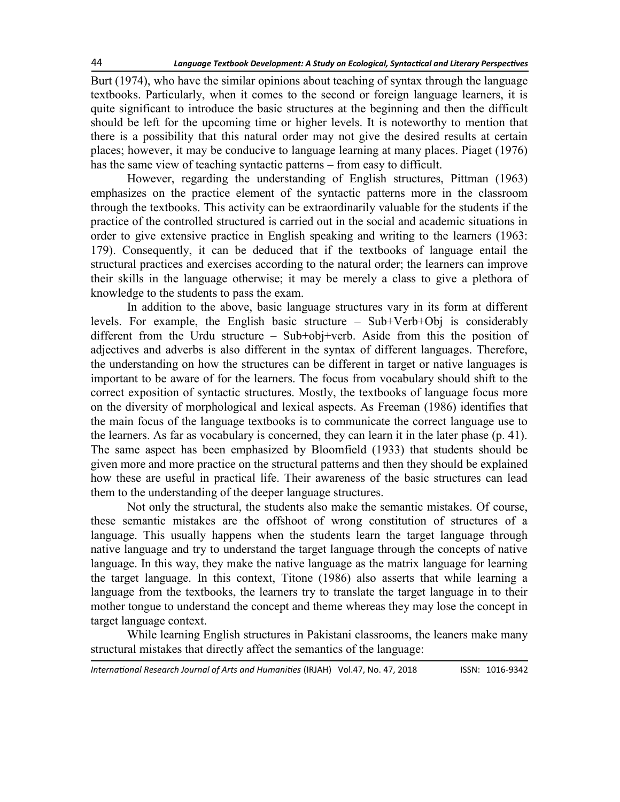Burt (1974), who have the similar opinions about teaching of syntax through the language textbooks. Particularly, when it comes to the second or foreign language learners, it is quite significant to introduce the basic structures at the beginning and then the difficult should be left for the upcoming time or higher levels. It is noteworthy to mention that there is a possibility that this natural order may not give the desired results at certain places; however, it may be conducive to language learning at many places. Piaget (1976) has the same view of teaching syntactic patterns – from easy to difficult.

However, regarding the understanding of English structures, Pittman (1963) emphasizes on the practice element of the syntactic patterns more in the classroom through the textbooks. This activity can be extraordinarily valuable for the students if the practice of the controlled structured is carried out in the social and academic situations in order to give extensive practice in English speaking and writing to the learners (1963: 179). Consequently, it can be deduced that if the textbooks of language entail the structural practices and exercises according to the natural order; the learners can improve their skills in the language otherwise; it may be merely a class to give a plethora of knowledge to the students to pass the exam.

In addition to the above, basic language structures vary in its form at different levels. For example, the English basic structure – Sub+Verb+Obj is considerably different from the Urdu structure – Sub+obj+verb. Aside from this the position of adjectives and adverbs is also different in the syntax of different languages. Therefore, the understanding on how the structures can be different in target or native languages is important to be aware of for the learners. The focus from vocabulary should shift to the correct exposition of syntactic structures. Mostly, the textbooks of language focus more on the diversity of morphological and lexical aspects. As Freeman (1986) identifies that the main focus of the language textbooks is to communicate the correct language use to the learners. As far as vocabulary is concerned, they can learn it in the later phase (p. 41). The same aspect has been emphasized by Bloomfield (1933) that students should be given more and more practice on the structural patterns and then they should be explained how these are useful in practical life. Their awareness of the basic structures can lead them to the understanding of the deeper language structures.

Not only the structural, the students also make the semantic mistakes. Of course, these semantic mistakes are the offshoot of wrong constitution of structures of a language. This usually happens when the students learn the target language through native language and try to understand the target language through the concepts of native language. In this way, they make the native language as the matrix language for learning the target language. In this context, Titone (1986) also asserts that while learning a language from the textbooks, the learners try to translate the target language in to their mother tongue to understand the concept and theme whereas they may lose the concept in target language context.

While learning English structures in Pakistani classrooms, the leaners make many structural mistakes that directly affect the semantics of the language: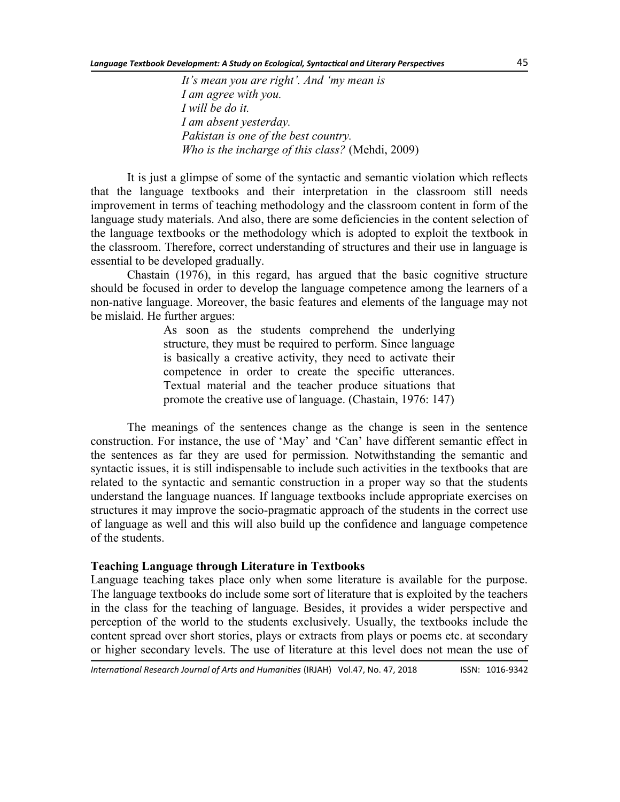*It's mean you are right'. And ‗my mean is I am agree with you. I will be do it. I am absent yesterday. Pakistan is one of the best country. Who is the incharge of this class?* (Mehdi, 2009)

It is just a glimpse of some of the syntactic and semantic violation which reflects that the language textbooks and their interpretation in the classroom still needs improvement in terms of teaching methodology and the classroom content in form of the language study materials. And also, there are some deficiencies in the content selection of the language textbooks or the methodology which is adopted to exploit the textbook in the classroom. Therefore, correct understanding of structures and their use in language is essential to be developed gradually.

Chastain (1976), in this regard, has argued that the basic cognitive structure should be focused in order to develop the language competence among the learners of a non-native language. Moreover, the basic features and elements of the language may not be mislaid. He further argues:

> As soon as the students comprehend the underlying structure, they must be required to perform. Since language is basically a creative activity, they need to activate their competence in order to create the specific utterances. Textual material and the teacher produce situations that promote the creative use of language. (Chastain, 1976: 147)

The meanings of the sentences change as the change is seen in the sentence construction. For instance, the use of 'May' and 'Can' have different semantic effect in the sentences as far they are used for permission. Notwithstanding the semantic and syntactic issues, it is still indispensable to include such activities in the textbooks that are related to the syntactic and semantic construction in a proper way so that the students understand the language nuances. If language textbooks include appropriate exercises on structures it may improve the socio-pragmatic approach of the students in the correct use of language as well and this will also build up the confidence and language competence of the students.

#### **Teaching Language through Literature in Textbooks**

Language teaching takes place only when some literature is available for the purpose. The language textbooks do include some sort of literature that is exploited by the teachers in the class for the teaching of language. Besides, it provides a wider perspective and perception of the world to the students exclusively. Usually, the textbooks include the content spread over short stories, plays or extracts from plays or poems etc. at secondary or higher secondary levels. The use of literature at this level does not mean the use of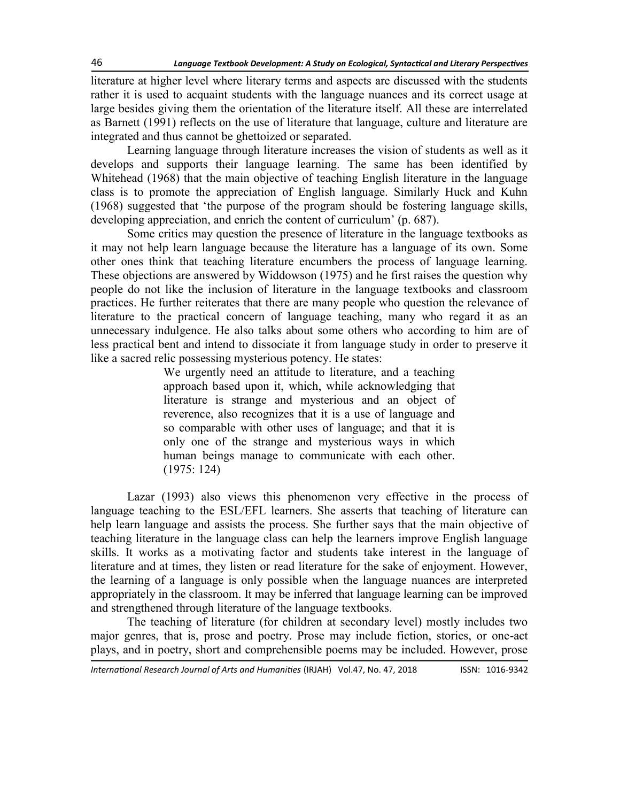literature at higher level where literary terms and aspects are discussed with the students rather it is used to acquaint students with the language nuances and its correct usage at large besides giving them the orientation of the literature itself. All these are interrelated as Barnett (1991) reflects on the use of literature that language, culture and literature are integrated and thus cannot be ghettoized or separated.

Learning language through literature increases the vision of students as well as it develops and supports their language learning. The same has been identified by Whitehead (1968) that the main objective of teaching English literature in the language class is to promote the appreciation of English language. Similarly Huck and Kuhn (1968) suggested that 'the purpose of the program should be fostering language skills, developing appreciation, and enrich the content of curriculum' (p. 687).

Some critics may question the presence of literature in the language textbooks as it may not help learn language because the literature has a language of its own. Some other ones think that teaching literature encumbers the process of language learning. These objections are answered by Widdowson (1975) and he first raises the question why people do not like the inclusion of literature in the language textbooks and classroom practices. He further reiterates that there are many people who question the relevance of literature to the practical concern of language teaching, many who regard it as an unnecessary indulgence. He also talks about some others who according to him are of less practical bent and intend to dissociate it from language study in order to preserve it like a sacred relic possessing mysterious potency. He states:

> We urgently need an attitude to literature, and a teaching approach based upon it, which, while acknowledging that literature is strange and mysterious and an object of reverence, also recognizes that it is a use of language and so comparable with other uses of language; and that it is only one of the strange and mysterious ways in which human beings manage to communicate with each other. (1975: 124)

Lazar (1993) also views this phenomenon very effective in the process of language teaching to the ESL/EFL learners. She asserts that teaching of literature can help learn language and assists the process. She further says that the main objective of teaching literature in the language class can help the learners improve English language skills. It works as a motivating factor and students take interest in the language of literature and at times, they listen or read literature for the sake of enjoyment. However, the learning of a language is only possible when the language nuances are interpreted appropriately in the classroom. It may be inferred that language learning can be improved and strengthened through literature of the language textbooks.

The teaching of literature (for children at secondary level) mostly includes two major genres, that is, prose and poetry. Prose may include fiction, stories, or one-act plays, and in poetry, short and comprehensible poems may be included. However, prose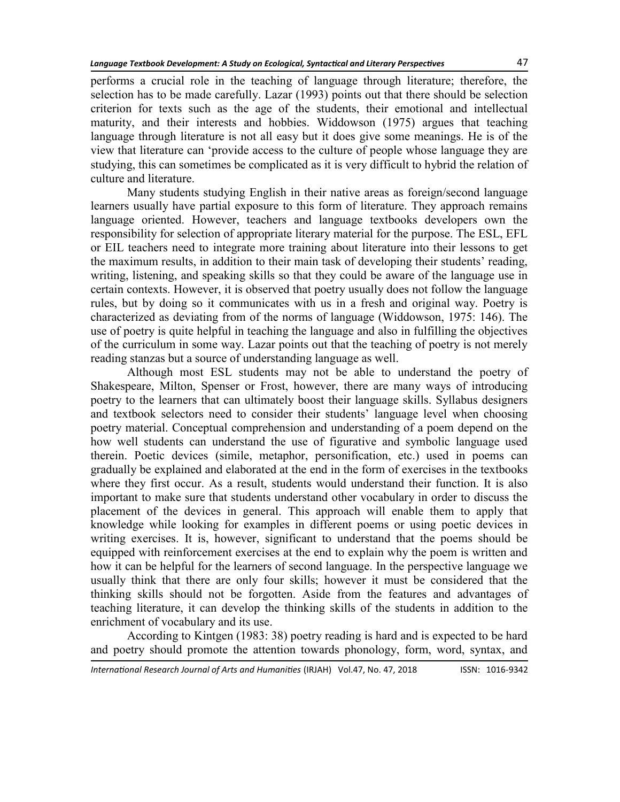performs a crucial role in the teaching of language through literature; therefore, the selection has to be made carefully. Lazar (1993) points out that there should be selection criterion for texts such as the age of the students, their emotional and intellectual maturity, and their interests and hobbies. Widdowson (1975) argues that teaching language through literature is not all easy but it does give some meanings. He is of the view that literature can 'provide access to the culture of people whose language they are studying, this can sometimes be complicated as it is very difficult to hybrid the relation of culture and literature.

Many students studying English in their native areas as foreign/second language learners usually have partial exposure to this form of literature. They approach remains language oriented. However, teachers and language textbooks developers own the responsibility for selection of appropriate literary material for the purpose. The ESL, EFL or EIL teachers need to integrate more training about literature into their lessons to get the maximum results, in addition to their main task of developing their students' reading, writing, listening, and speaking skills so that they could be aware of the language use in certain contexts. However, it is observed that poetry usually does not follow the language rules, but by doing so it communicates with us in a fresh and original way. Poetry is characterized as deviating from of the norms of language (Widdowson, 1975: 146). The use of poetry is quite helpful in teaching the language and also in fulfilling the objectives of the curriculum in some way. Lazar points out that the teaching of poetry is not merely reading stanzas but a source of understanding language as well.

Although most ESL students may not be able to understand the poetry of Shakespeare, Milton, Spenser or Frost, however, there are many ways of introducing poetry to the learners that can ultimately boost their language skills. Syllabus designers and textbook selectors need to consider their students' language level when choosing poetry material. Conceptual comprehension and understanding of a poem depend on the how well students can understand the use of figurative and symbolic language used therein. [Poetic devices](http://esl.about.com/cs/reading/a/blpoetry.htm) (simile, metaphor, personification, etc.) used in poems can gradually be explained and elaborated at the end in the form of exercises in the textbooks where they first occur. As a result, students would understand their function. It is also important to make sure that students understand other vocabulary in order to discuss the placement of the devices in general. This approach will enable them to apply that knowledge while looking for examples in different poems or using poetic devices in writing exercises. It is, however, significant to understand that the poems should be equipped with reinforcement exercises at the end to explain why the poem is written and how it can be helpful for the learners of second language. In the perspective language we usually think that there are only four skills; however it must be considered that the thinking skills should not be forgotten. Aside from the features and advantages of teaching literature, it can develop the thinking skills of the students in addition to the enrichment of vocabulary and its use.

According to Kintgen (1983: 38) poetry reading is hard and is expected to be hard and poetry should promote the attention towards phonology, form, word, syntax, and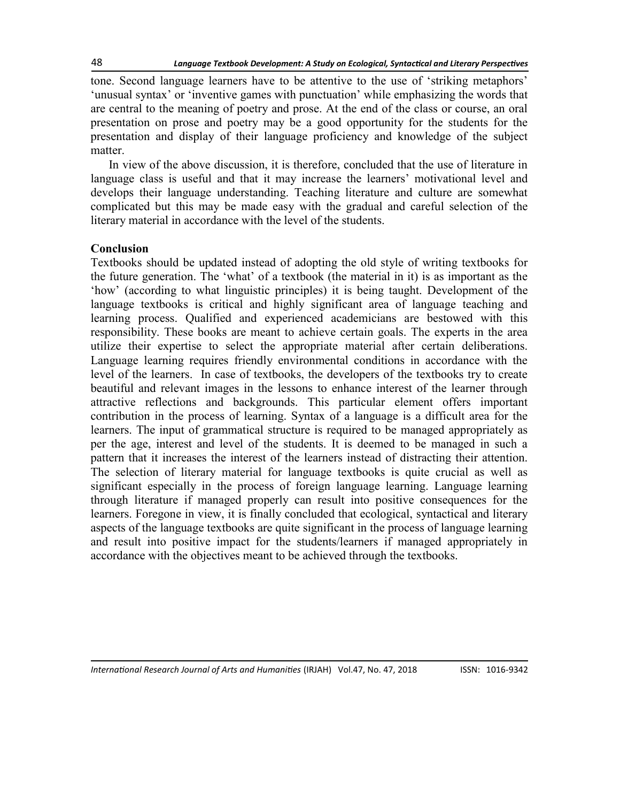tone. Second language learners have to be attentive to the use of 'striking metaphors' ‗unusual syntax' or ‗inventive games with punctuation' while emphasizing the words that are central to the meaning of poetry and prose. At the end of the class or course, an oral presentation on prose and poetry may be a good opportunity for the students for the presentation and display of their language proficiency and knowledge of the subject matter.

In view of the above discussion, it is therefore, concluded that the use of literature in language class is useful and that it may increase the learners' motivational level and develops their language understanding. Teaching literature and culture are somewhat complicated but this may be made easy with the gradual and careful selection of the literary material in accordance with the level of the students.

## **Conclusion**

Textbooks should be updated instead of adopting the old style of writing textbooks for the future generation. The 'what' of a textbook (the material in it) is as important as the ‗how' (according to what linguistic principles) it is being taught. Development of the language textbooks is critical and highly significant area of language teaching and learning process. Qualified and experienced academicians are bestowed with this responsibility. These books are meant to achieve certain goals. The experts in the area utilize their expertise to select the appropriate material after certain deliberations. Language learning requires friendly environmental conditions in accordance with the level of the learners. In case of textbooks, the developers of the textbooks try to create beautiful and relevant images in the lessons to enhance interest of the learner through attractive reflections and backgrounds. This particular element offers important contribution in the process of learning. Syntax of a language is a difficult area for the learners. The input of grammatical structure is required to be managed appropriately as per the age, interest and level of the students. It is deemed to be managed in such a pattern that it increases the interest of the learners instead of distracting their attention. The selection of literary material for language textbooks is quite crucial as well as significant especially in the process of foreign language learning. Language learning through literature if managed properly can result into positive consequences for the learners. Foregone in view, it is finally concluded that ecological, syntactical and literary aspects of the language textbooks are quite significant in the process of language learning and result into positive impact for the students/learners if managed appropriately in accordance with the objectives meant to be achieved through the textbooks.